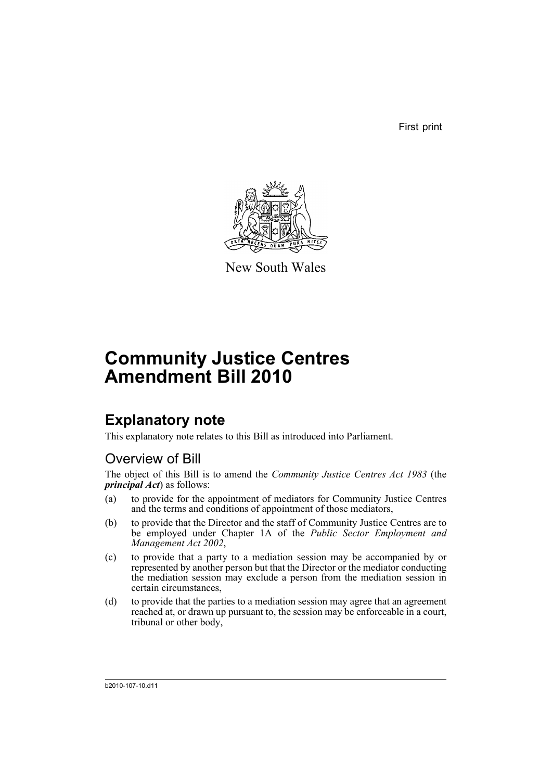First print



New South Wales

# **Community Justice Centres Amendment Bill 2010**

## **Explanatory note**

This explanatory note relates to this Bill as introduced into Parliament.

### Overview of Bill

The object of this Bill is to amend the *Community Justice Centres Act 1983* (the *principal Act*) as follows:

- (a) to provide for the appointment of mediators for Community Justice Centres and the terms and conditions of appointment of those mediators,
- (b) to provide that the Director and the staff of Community Justice Centres are to be employed under Chapter 1A of the *Public Sector Employment and Management Act 2002*,
- (c) to provide that a party to a mediation session may be accompanied by or represented by another person but that the Director or the mediator conducting the mediation session may exclude a person from the mediation session in certain circumstances,
- (d) to provide that the parties to a mediation session may agree that an agreement reached at, or drawn up pursuant to, the session may be enforceable in a court, tribunal or other body,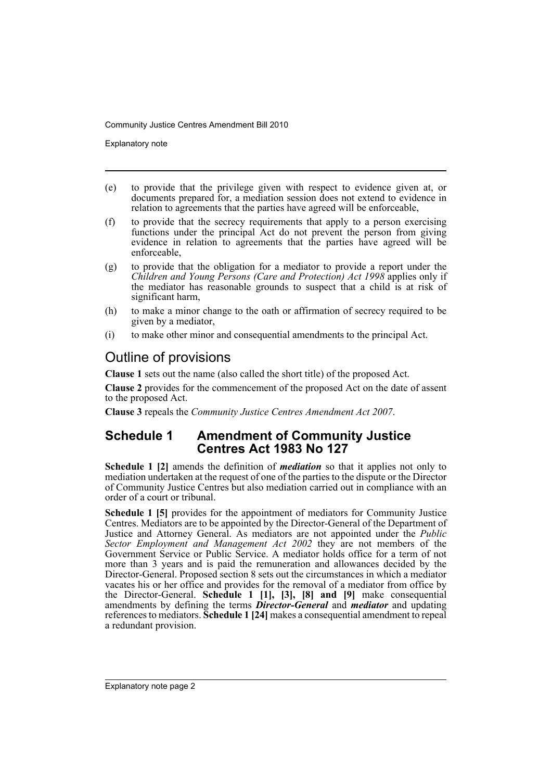Explanatory note

- (e) to provide that the privilege given with respect to evidence given at, or documents prepared for, a mediation session does not extend to evidence in relation to agreements that the parties have agreed will be enforceable,
- (f) to provide that the secrecy requirements that apply to a person exercising functions under the principal Act do not prevent the person from giving evidence in relation to agreements that the parties have agreed will be enforceable,
- (g) to provide that the obligation for a mediator to provide a report under the *Children and Young Persons (Care and Protection) Act 1998* applies only if the mediator has reasonable grounds to suspect that a child is at risk of significant harm,
- (h) to make a minor change to the oath or affirmation of secrecy required to be given by a mediator,
- (i) to make other minor and consequential amendments to the principal Act.

### Outline of provisions

**Clause 1** sets out the name (also called the short title) of the proposed Act.

**Clause 2** provides for the commencement of the proposed Act on the date of assent to the proposed Act.

**Clause 3** repeals the *Community Justice Centres Amendment Act 2007*.

#### **Schedule 1 Amendment of Community Justice Centres Act 1983 No 127**

**Schedule 1 [2]** amends the definition of *mediation* so that it applies not only to mediation undertaken at the request of one of the parties to the dispute or the Director of Community Justice Centres but also mediation carried out in compliance with an order of a court or tribunal.

**Schedule 1 [5]** provides for the appointment of mediators for Community Justice Centres. Mediators are to be appointed by the Director-General of the Department of Justice and Attorney General. As mediators are not appointed under the *Public Sector Employment and Management Act 2002* they are not members of the Government Service or Public Service. A mediator holds office for a term of not more than 3 years and is paid the remuneration and allowances decided by the Director-General. Proposed section 8 sets out the circumstances in which a mediator vacates his or her office and provides for the removal of a mediator from office by the Director-General. **Schedule 1 [1], [3], [8] and [9]** make consequential amendments by defining the terms *Director-General* and *mediator* and updating references to mediators. **Schedule 1 [24]** makes a consequential amendment to repeal a redundant provision.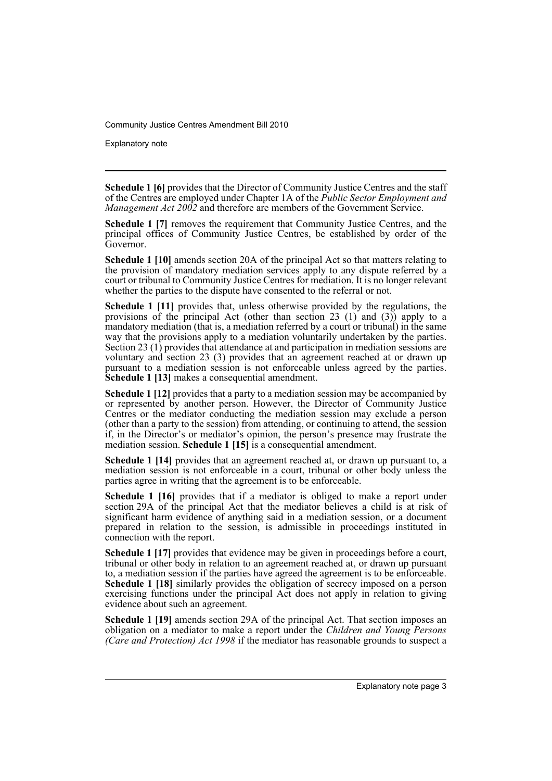Explanatory note

**Schedule 1 [6]** provides that the Director of Community Justice Centres and the staff of the Centres are employed under Chapter 1A of the *Public Sector Employment and Management Act 2002* and therefore are members of the Government Service.

**Schedule 1 [7]** removes the requirement that Community Justice Centres, and the principal offices of Community Justice Centres, be established by order of the Governor.

**Schedule 1 [10]** amends section 20A of the principal Act so that matters relating to the provision of mandatory mediation services apply to any dispute referred by a court or tribunal to Community Justice Centres for mediation. It is no longer relevant whether the parties to the dispute have consented to the referral or not.

**Schedule 1 [11]** provides that, unless otherwise provided by the regulations, the provisions of the principal Act (other than section 23 (1) and (3)) apply to a mandatory mediation (that is, a mediation referred by a court or tribunal) in the same way that the provisions apply to a mediation voluntarily undertaken by the parties. Section 23 (1) provides that attendance at and participation in mediation sessions are voluntary and section 23 (3) provides that an agreement reached at or drawn up pursuant to a mediation session is not enforceable unless agreed by the parties. **Schedule 1 [13]** makes a consequential amendment.

**Schedule 1 [12]** provides that a party to a mediation session may be accompanied by or represented by another person. However, the Director of Community Justice Centres or the mediator conducting the mediation session may exclude a person (other than a party to the session) from attending, or continuing to attend, the session if, in the Director's or mediator's opinion, the person's presence may frustrate the mediation session. **Schedule 1 [15]** is a consequential amendment.

**Schedule 1 [14]** provides that an agreement reached at, or drawn up pursuant to, a mediation session is not enforceable in a court, tribunal or other body unless the parties agree in writing that the agreement is to be enforceable.

**Schedule 1 [16]** provides that if a mediator is obliged to make a report under section 29A of the principal Act that the mediator believes a child is at risk of significant harm evidence of anything said in a mediation session, or a document prepared in relation to the session, is admissible in proceedings instituted in connection with the report.

**Schedule 1 [17]** provides that evidence may be given in proceedings before a court, tribunal or other body in relation to an agreement reached at, or drawn up pursuant to, a mediation session if the parties have agreed the agreement is to be enforceable. **Schedule 1 [18]** similarly provides the obligation of secrecy imposed on a person exercising functions under the principal Act does not apply in relation to giving evidence about such an agreement.

**Schedule 1 [19]** amends section 29A of the principal Act. That section imposes an obligation on a mediator to make a report under the *Children and Young Persons (Care and Protection) Act 1998* if the mediator has reasonable grounds to suspect a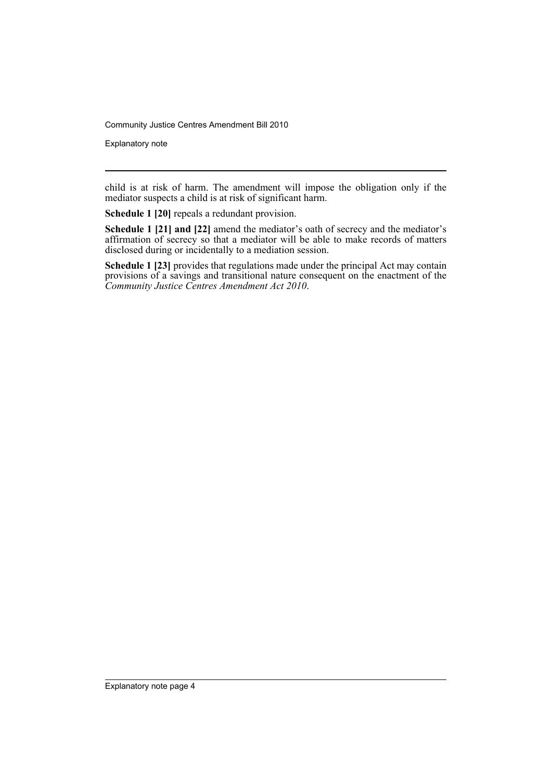Explanatory note

child is at risk of harm. The amendment will impose the obligation only if the mediator suspects a child is at risk of significant harm.

**Schedule 1 [20]** repeals a redundant provision.

**Schedule 1 [21] and [22]** amend the mediator's oath of secrecy and the mediator's affirmation of secrecy so that a mediator will be able to make records of matters disclosed during or incidentally to a mediation session.

**Schedule 1 [23]** provides that regulations made under the principal Act may contain provisions of a savings and transitional nature consequent on the enactment of the *Community Justice Centres Amendment Act 2010*.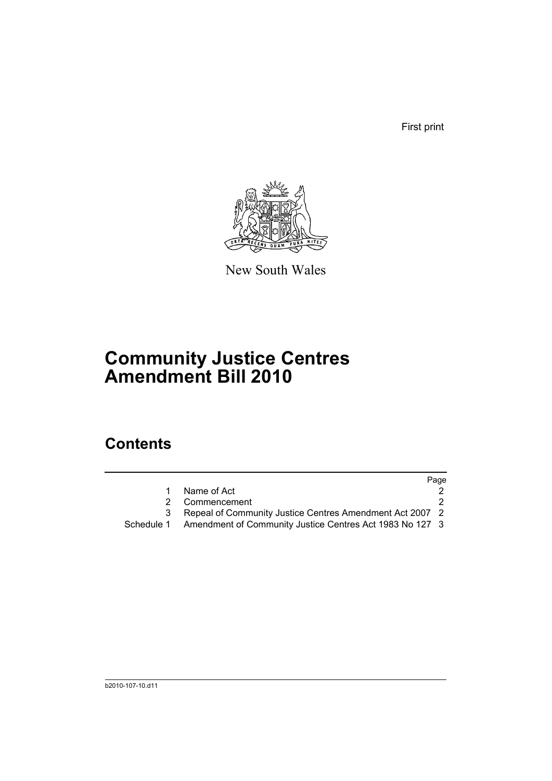First print



New South Wales

# **Community Justice Centres Amendment Bill 2010**

## **Contents**

|   |                                                                     | Page |
|---|---------------------------------------------------------------------|------|
|   | Name of Act                                                         |      |
| 2 | Commencement                                                        |      |
|   | Repeal of Community Justice Centres Amendment Act 2007 2            |      |
|   | Schedule 1 Amendment of Community Justice Centres Act 1983 No 127 3 |      |
|   |                                                                     |      |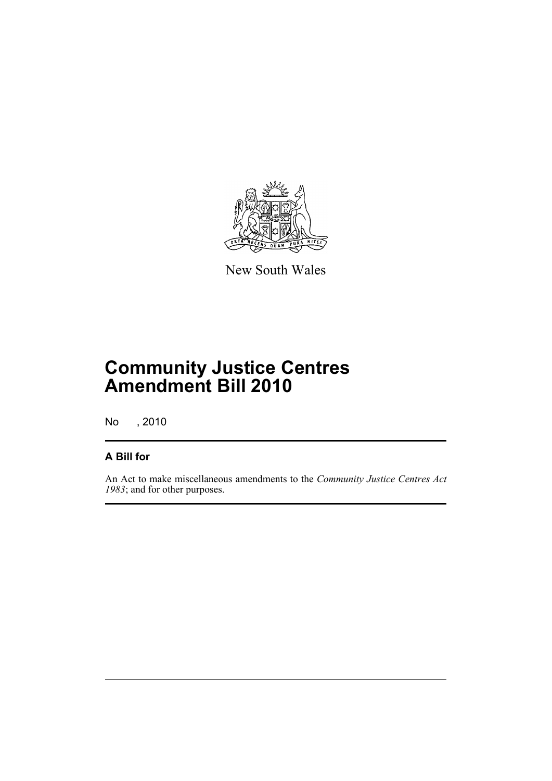

New South Wales

## **Community Justice Centres Amendment Bill 2010**

No , 2010

#### **A Bill for**

An Act to make miscellaneous amendments to the *Community Justice Centres Act 1983*; and for other purposes.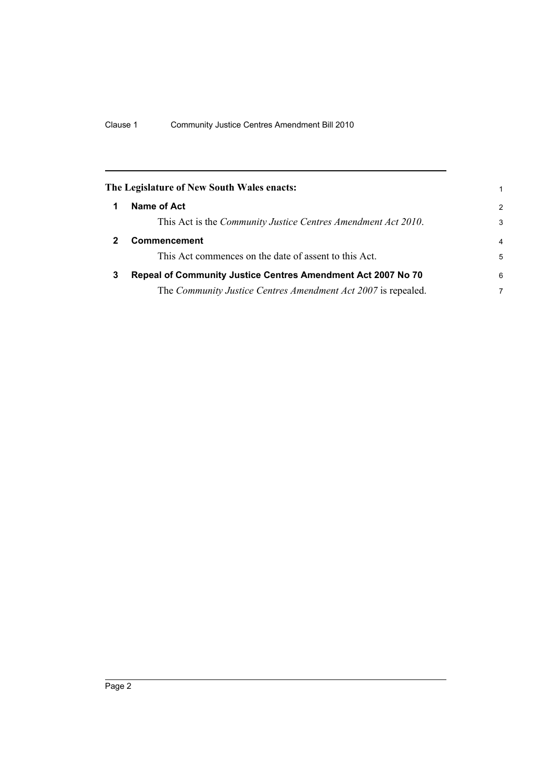<span id="page-7-2"></span><span id="page-7-1"></span><span id="page-7-0"></span>

|   | The Legislature of New South Wales enacts:                    | 1              |
|---|---------------------------------------------------------------|----------------|
|   | Name of Act                                                   | $\overline{2}$ |
|   | This Act is the Community Justice Centres Amendment Act 2010. | 3              |
|   | <b>Commencement</b>                                           | $\overline{4}$ |
|   | This Act commences on the date of assent to this Act.         | 5              |
| 3 | Repeal of Community Justice Centres Amendment Act 2007 No 70  | 6              |
|   | The Community Justice Centres Amendment Act 2007 is repealed. | 7              |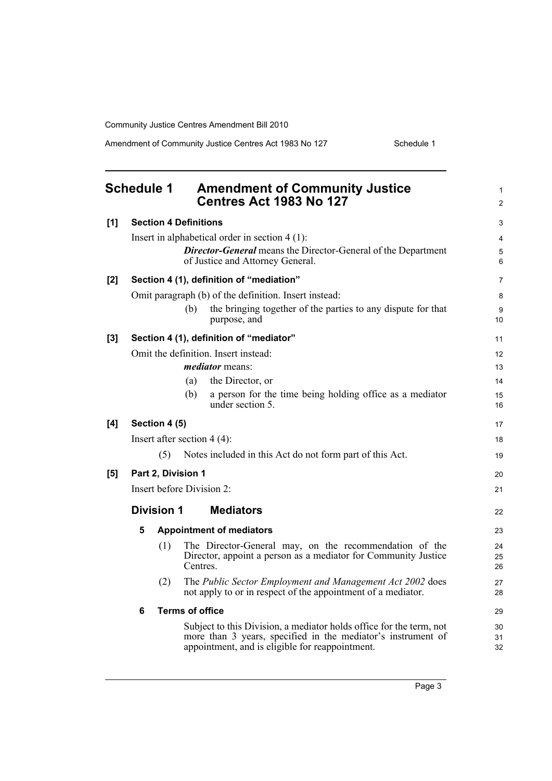Amendment of Community Justice Centres Act 1983 No 127 Schedule 1

<span id="page-8-0"></span>

|       | <b>Schedule 1</b>                        |                   | <b>Amendment of Community Justice</b><br><b>Centres Act 1983 No 127</b>                                                                                                                | $\mathbf{1}$<br>$\overline{2}$ |  |
|-------|------------------------------------------|-------------------|----------------------------------------------------------------------------------------------------------------------------------------------------------------------------------------|--------------------------------|--|
| [1]   | <b>Section 4 Definitions</b>             |                   |                                                                                                                                                                                        |                                |  |
|       |                                          |                   | Insert in alphabetical order in section $4(1)$ :                                                                                                                                       | $\overline{4}$                 |  |
|       |                                          |                   | <b>Director-General</b> means the Director-General of the Department<br>of Justice and Attorney General.                                                                               |                                |  |
| [2]   | Section 4 (1), definition of "mediation" |                   |                                                                                                                                                                                        |                                |  |
|       |                                          |                   | Omit paragraph (b) of the definition. Insert instead:                                                                                                                                  | 8                              |  |
|       |                                          |                   | the bringing together of the parties to any dispute for that<br>(b)<br>purpose, and                                                                                                    | 9<br>10                        |  |
| $[3]$ | Section 4 (1), definition of "mediator"  |                   |                                                                                                                                                                                        | 11                             |  |
|       |                                          |                   | Omit the definition. Insert instead:                                                                                                                                                   | 12                             |  |
|       |                                          |                   | <i>mediator</i> means:                                                                                                                                                                 | 13                             |  |
|       |                                          |                   | the Director, or<br>(a)                                                                                                                                                                | 14                             |  |
|       |                                          |                   | (b)<br>a person for the time being holding office as a mediator<br>under section 5.                                                                                                    | 15<br>16                       |  |
| [4]   | Section 4 (5)                            |                   |                                                                                                                                                                                        |                                |  |
|       | Insert after section $4(4)$ :            |                   |                                                                                                                                                                                        |                                |  |
|       |                                          | (5)               | Notes included in this Act do not form part of this Act.                                                                                                                               | 19                             |  |
| [5]   | Part 2, Division 1                       |                   |                                                                                                                                                                                        |                                |  |
|       | Insert before Division 2:                |                   |                                                                                                                                                                                        |                                |  |
|       |                                          | <b>Division 1</b> | <b>Mediators</b>                                                                                                                                                                       | 22                             |  |
|       | 5                                        |                   | <b>Appointment of mediators</b>                                                                                                                                                        | 23                             |  |
|       |                                          | (1)               | The Director-General may, on the recommendation of the<br>Director, appoint a person as a mediator for Community Justice<br>Centres.                                                   | 24<br>25<br>26                 |  |
|       |                                          | (2)               | The Public Sector Employment and Management Act 2002 does<br>not apply to or in respect of the appointment of a mediator.                                                              | 27<br>28                       |  |
|       | 6                                        |                   | <b>Terms of office</b>                                                                                                                                                                 | 29                             |  |
|       |                                          |                   | Subject to this Division, a mediator holds office for the term, not<br>more than 3 years, specified in the mediator's instrument of<br>appointment, and is eligible for reappointment. | 30<br>31<br>32                 |  |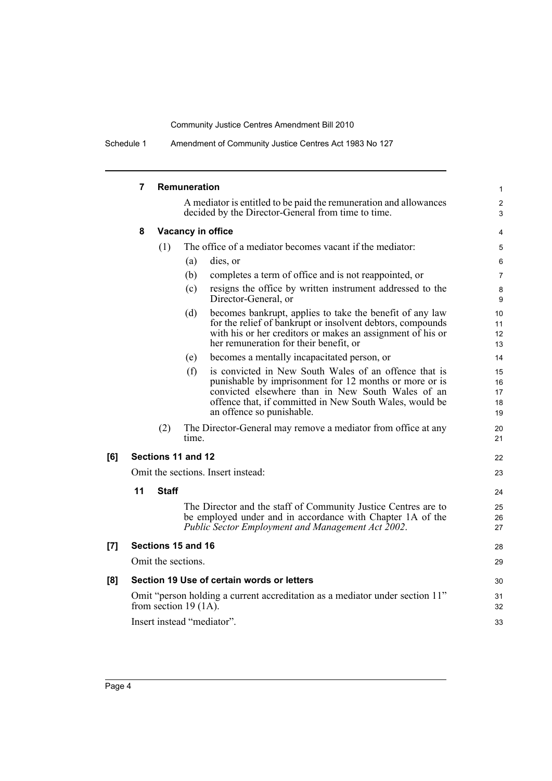Schedule 1 Amendment of Community Justice Centres Act 1983 No 127

|     | 7                                                                                                        |              | Remuneration                                                                                                                                                                                                                                                        |                                   |  |  |  |
|-----|----------------------------------------------------------------------------------------------------------|--------------|---------------------------------------------------------------------------------------------------------------------------------------------------------------------------------------------------------------------------------------------------------------------|-----------------------------------|--|--|--|
|     |                                                                                                          |              | A mediator is entitled to be paid the remuneration and allowances<br>decided by the Director-General from time to time.                                                                                                                                             |                                   |  |  |  |
|     | 8                                                                                                        |              | <b>Vacancy in office</b>                                                                                                                                                                                                                                            | 4                                 |  |  |  |
|     |                                                                                                          | (1)          | The office of a mediator becomes vacant if the mediator:                                                                                                                                                                                                            | 5                                 |  |  |  |
|     |                                                                                                          |              | (a)<br>dies, or                                                                                                                                                                                                                                                     | 6                                 |  |  |  |
|     |                                                                                                          |              | (b)<br>completes a term of office and is not reappointed, or                                                                                                                                                                                                        | $\overline{7}$                    |  |  |  |
|     |                                                                                                          |              | resigns the office by written instrument addressed to the<br>(c)<br>Director-General, or                                                                                                                                                                            | 8<br>9                            |  |  |  |
|     |                                                                                                          |              | becomes bankrupt, applies to take the benefit of any law<br>(d)<br>for the relief of bankrupt or insolvent debtors, compounds<br>with his or her creditors or makes an assignment of his or<br>her remuneration for their benefit, or                               | 10<br>11<br>12 <sup>2</sup><br>13 |  |  |  |
|     |                                                                                                          |              | becomes a mentally incapacitated person, or<br>(e)                                                                                                                                                                                                                  | 14                                |  |  |  |
|     |                                                                                                          |              | is convicted in New South Wales of an offence that is<br>(f)<br>punishable by imprisonment for 12 months or more or is<br>convicted elsewhere than in New South Wales of an<br>offence that, if committed in New South Wales, would be<br>an offence so punishable. | 15<br>16<br>17<br>18<br>19        |  |  |  |
|     |                                                                                                          | (2)          | The Director-General may remove a mediator from office at any<br>time.                                                                                                                                                                                              | 20<br>21                          |  |  |  |
| [6] |                                                                                                          |              | Sections 11 and 12                                                                                                                                                                                                                                                  | 22                                |  |  |  |
|     | Omit the sections. Insert instead:                                                                       |              |                                                                                                                                                                                                                                                                     | 23                                |  |  |  |
|     | 11                                                                                                       | <b>Staff</b> |                                                                                                                                                                                                                                                                     | 24                                |  |  |  |
|     |                                                                                                          |              | The Director and the staff of Community Justice Centres are to<br>be employed under and in accordance with Chapter 1A of the<br>Public Sector Employment and Management Act 2002.                                                                                   | 25<br>26<br>27                    |  |  |  |
| [7] |                                                                                                          |              | Sections 15 and 16                                                                                                                                                                                                                                                  | 28                                |  |  |  |
|     | Omit the sections.                                                                                       |              |                                                                                                                                                                                                                                                                     |                                   |  |  |  |
| [8] |                                                                                                          |              | Section 19 Use of certain words or letters                                                                                                                                                                                                                          | 30                                |  |  |  |
|     | Omit "person holding a current accreditation as a mediator under section 11"<br>from section 19 $(1A)$ . |              |                                                                                                                                                                                                                                                                     |                                   |  |  |  |
|     | Insert instead "mediator".                                                                               |              |                                                                                                                                                                                                                                                                     |                                   |  |  |  |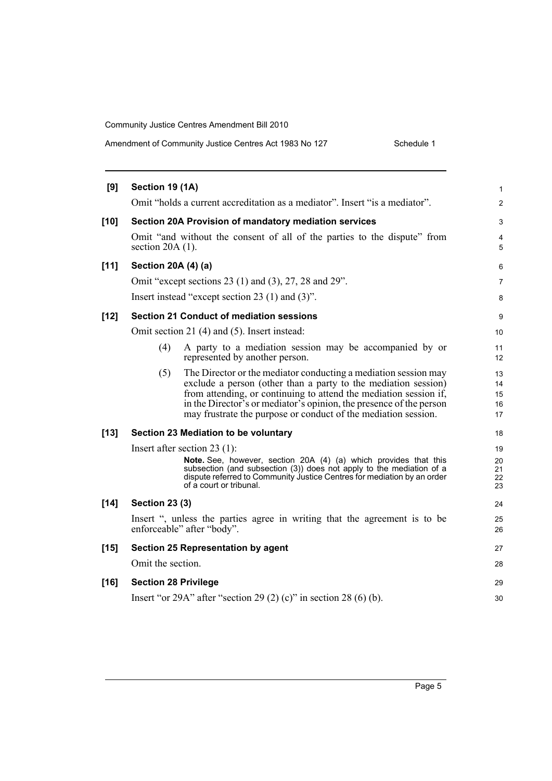|  | Amendment of Community Justice Centres Act 1983 No 127 | Schedule 1 |
|--|--------------------------------------------------------|------------|
|--|--------------------------------------------------------|------------|

| [9]    | Section 19 (1A)                 |                                                                                                                                                                                                                                                                                                                                                 | 1                          |  |  |
|--------|---------------------------------|-------------------------------------------------------------------------------------------------------------------------------------------------------------------------------------------------------------------------------------------------------------------------------------------------------------------------------------------------|----------------------------|--|--|
|        |                                 | Omit "holds a current accreditation as a mediator". Insert "is a mediator".                                                                                                                                                                                                                                                                     | $\overline{c}$             |  |  |
| $[10]$ |                                 | Section 20A Provision of mandatory mediation services                                                                                                                                                                                                                                                                                           | 3                          |  |  |
|        |                                 | Omit "and without the consent of all of the parties to the dispute" from<br>section $20A(1)$ .                                                                                                                                                                                                                                                  |                            |  |  |
| $[11]$ | Section 20A (4) (a)             |                                                                                                                                                                                                                                                                                                                                                 | 6                          |  |  |
|        |                                 | Omit "except sections 23 (1) and (3), 27, 28 and 29".                                                                                                                                                                                                                                                                                           | 7                          |  |  |
|        |                                 | Insert instead "except section 23 $(1)$ and $(3)$ ".                                                                                                                                                                                                                                                                                            | 8                          |  |  |
| $[12]$ |                                 | <b>Section 21 Conduct of mediation sessions</b>                                                                                                                                                                                                                                                                                                 | 9                          |  |  |
|        |                                 | Omit section 21 (4) and (5). Insert instead:                                                                                                                                                                                                                                                                                                    | 10                         |  |  |
|        | (4)                             | A party to a mediation session may be accompanied by or<br>represented by another person.                                                                                                                                                                                                                                                       | 11<br>12                   |  |  |
|        | (5)                             | The Director or the mediator conducting a mediation session may<br>exclude a person (other than a party to the mediation session)<br>from attending, or continuing to attend the mediation session if,<br>in the Director's or mediator's opinion, the presence of the person<br>may frustrate the purpose or conduct of the mediation session. | 13<br>14<br>15<br>16<br>17 |  |  |
| $[13]$ |                                 | Section 23 Mediation to be voluntary                                                                                                                                                                                                                                                                                                            | 18                         |  |  |
|        | Insert after section 23 $(1)$ : |                                                                                                                                                                                                                                                                                                                                                 |                            |  |  |
|        |                                 | Note. See, however, section 20A (4) (a) which provides that this<br>subsection (and subsection (3)) does not apply to the mediation of a<br>dispute referred to Community Justice Centres for mediation by an order<br>of a court or tribunal.                                                                                                  | 20<br>21<br>22<br>23       |  |  |
| $[14]$ | <b>Section 23 (3)</b>           |                                                                                                                                                                                                                                                                                                                                                 | 24                         |  |  |
|        |                                 | Insert ", unless the parties agree in writing that the agreement is to be<br>enforceable" after "body".                                                                                                                                                                                                                                         | 25<br>26                   |  |  |
| $[15]$ |                                 | Section 25 Representation by agent                                                                                                                                                                                                                                                                                                              | 27                         |  |  |
|        | Omit the section.               |                                                                                                                                                                                                                                                                                                                                                 | 28                         |  |  |
| $[16]$ | <b>Section 28 Privilege</b>     |                                                                                                                                                                                                                                                                                                                                                 | 29                         |  |  |
|        |                                 | Insert "or 29A" after "section 29 (2) (c)" in section 28 (6) (b).                                                                                                                                                                                                                                                                               | 30                         |  |  |
|        |                                 |                                                                                                                                                                                                                                                                                                                                                 |                            |  |  |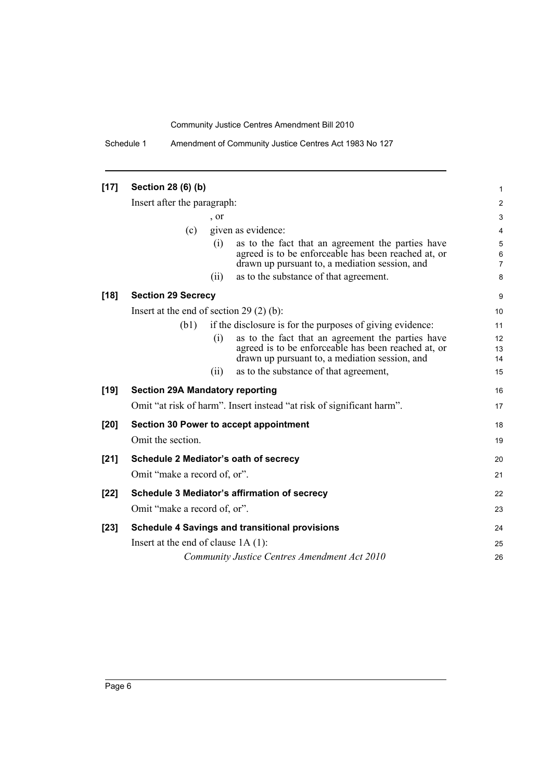Schedule 1 Amendment of Community Justice Centres Act 1983 No 127

| $[17]$ | Section 28 (6) (b)                            |            |                                                                                                                                                            |                          |
|--------|-----------------------------------------------|------------|------------------------------------------------------------------------------------------------------------------------------------------------------------|--------------------------|
|        | Insert after the paragraph:                   |            |                                                                                                                                                            |                          |
|        |                                               | $\cdot$ or |                                                                                                                                                            | 3                        |
|        | (c)                                           |            | given as evidence:                                                                                                                                         | 4                        |
|        |                                               | (i)        | as to the fact that an agreement the parties have<br>agreed is to be enforceable has been reached at, or<br>drawn up pursuant to, a mediation session, and | 5<br>6<br>$\overline{7}$ |
|        |                                               | (ii)       | as to the substance of that agreement.                                                                                                                     | 8                        |
| $[18]$ | <b>Section 29 Secrecy</b>                     |            |                                                                                                                                                            | 9                        |
|        | Insert at the end of section 29 $(2)$ $(b)$ : |            |                                                                                                                                                            | 10                       |
|        | (b1)                                          |            | if the disclosure is for the purposes of giving evidence:                                                                                                  | 11                       |
|        |                                               | (i)        | as to the fact that an agreement the parties have<br>agreed is to be enforceable has been reached at, or<br>drawn up pursuant to, a mediation session, and | 12<br>13<br>14           |
|        |                                               | (i)        | as to the substance of that agreement,                                                                                                                     | 15                       |
| $[19]$ | <b>Section 29A Mandatory reporting</b>        |            |                                                                                                                                                            | 16                       |
|        |                                               |            | Omit "at risk of harm". Insert instead "at risk of significant harm".                                                                                      | 17                       |
| $[20]$ | Section 30 Power to accept appointment        |            |                                                                                                                                                            |                          |
|        | Omit the section.                             |            |                                                                                                                                                            | 19                       |
| $[21]$ | Schedule 2 Mediator's oath of secrecy         |            |                                                                                                                                                            |                          |
|        | Omit "make a record of, or".                  |            |                                                                                                                                                            | 21                       |
| $[22]$ |                                               |            | Schedule 3 Mediator's affirmation of secrecy                                                                                                               | 22                       |
|        | Omit "make a record of, or".                  |            |                                                                                                                                                            | 23                       |
| $[23]$ |                                               |            | <b>Schedule 4 Savings and transitional provisions</b>                                                                                                      | 24                       |
|        | Insert at the end of clause $1A(1)$ :         |            |                                                                                                                                                            | 25                       |
|        |                                               |            | Community Justice Centres Amendment Act 2010                                                                                                               | 26                       |